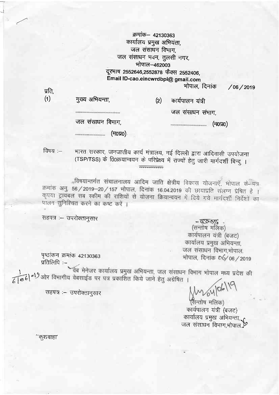क्रमांक– 42130363 कार्यालय प्रमुख अभियंता, जल संसाधन विभाग, जल संसाधन भवन, तुलसी नगर, भोपाल-462003 दूरभाष 2552646,2552878 फैक्स 2552406, Email ID-cao.eincwrdbpl@ gmail.com भोपाल, दिनांक

 $/06/2019$ 

| (1) | मुख्य अभियन्ता,                       | (2) | कार्यपालन यंत्री |
|-----|---------------------------------------|-----|------------------|
|     | ------------------------------------- |     | जल संसाधन संभाग, |
|     | जल संसाधन विभाग,                      |     | (ਸ0ਧ0)           |
|     | (ਜ0ਸ0)                                |     |                  |

भारत सरकार, जनजातीय कार्य मंत्रालय, नई दिल्ली द्वारा आदिवासी उपयोजना विषय :— (TSP/TSS) के 0ि0क्रयान्वयन के परिप्रेक्ष्य में राज्यों हेतु जारी मार्गदर्शी बिन्दु ।  $\overline{...}$ 

,विषयान्तर्गत संचालनालय आदिम जाति क्षेत्रीय विकास योजनाएँ, भोपाल के पत्र क्रमांक अनु. 56 / 2019-20 / 157 भोपाल, दिनांक 16.04.2019 की छायाप्रति संलग्न प्रेषित है । कृपया ट्रायबल सब स्कीम की राशियों से योजना क्रियान्वयन में दिये गये मार्गदर्शी निर्देशों का पालन सुनिश्चित करने का कष्ट करें ।

सहपत्र :- उपरोक्तानुसार

प्रति.

- ब्ल्क् : .<br>(सन्तोष मलिक) कार्यपालन यंत्री (बजट) कार्यालय प्रमुख अभियन्ता, जल संसाधन विभाग,भोपाल. भोपाल, दिनांक 06/06/2019

पृष्ठांकन क्रमांक 42130363 प्रतिलिपि :-

सहपत्र :– उपरोक्तानुसार

वैब मेनेजर कार्यालय प्रमुख अभियन्ता, जल संसाधन विभाग भोपाल मध्य प्रदेश की  $\epsilon$   $\approx$   $\epsilon$   $\sim$   $\epsilon$ ) और विभागीय वेबसाईड पर पत्र प्रकाशित किये जाने हेतु अग्रेषित ।

(सन्तोष मलिक) कार्यपालन यंत्री (बजट) कार्यालय प्रमुख अभियन्ता,<br>जल संसाधन विभाग,भोपाल.ु्≫

''कुशवाहा'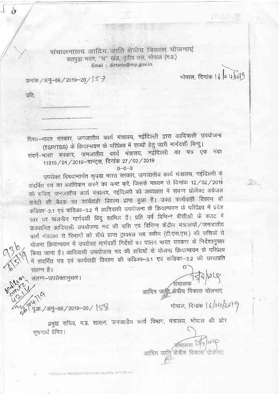संचालनालय आदिम जाति क्षेत्रीय विकास योजनाएं सतपुड़ा भवन, "घ" खंड, तृतीय तल, भोपाल (म.प्र.) Email: dirtadp@mp.gov.in

क्रमांक / अनु-56 / 2019-20 / | 5 +

मोपाल, दिनांक | 6 | 0 प (0)

 $P$  of  $D$ 

प्रति.

संलग्न है।

संलग्न-उपरोक्तानुसार।

पृ.क्र. / अनु-56 / 2019-20 / SB

Ò

विषय–भारत सरकार, जनजातीय कार्य मंत्रालय, नईदिल्ली द्वारा आदिवासी उपयोजना (TSP/TSS) के क्रियान्वयन के परिप्रेक्ष्य में राज्यों हेतु जारी मार्गदर्शी बिन्दु।

संदर्भ–भारत सरकार, जनजातीय कार्य मंत्रालय, नईदिल्ली का पत्र एफ नंबर 11015 / 01 / 2019--ग्रान्ट्स, दिनांक 27 / 02 / 2019

 $0 - 0 - 0$ 

उपरोक्त विषयान्तर्गत कृपया भारत सरकार, जनजातीय कार्य मंत्रालय, नईदिल्ली के संदर्भित पत्र का अवलोकन करने का कष्ट करें, जिसके माध्यम से दिनांक 12/02/2019 को सचिव, जनजातीय कार्य मंत्रालय, नईदिल्ली की अध्यक्षता में संपन्न प्रोजेक्ट अप्रेजल कमेंटी की बैठक का कार्यवाही विवरण प्राप्त हुआ है। उक्त कार्यवाही विवरण की कॅडिका - 3.1 एवं कंडिका - 3.2 में आदिवासी उपयोजना के क्रियान्चयन के परिप्रेक्ष्य में प्रदेश स्तर पर पालनीय मार्गदर्शी बिंदु शामिल हैं। प्रति वर्ष विभिन्न बीसीओ के बजट में प्राक्धानित आदिवासी उपयोजना मद की राशि एवं विभिन्न केंद्रीय मंत्रालयों / जनजातीय कार्य मंत्रालय से विभागों को सीधे प्राप्त ट्रायबल सब स्कीम (टी.एस.एस.) की राशियों से योजना क्रियान्वयन में उपरोक्त मार्गदर्शी निर्देशों का पालन भारत सरकार के निर्देशानुसार किया जाना है। आदिवासी उपयोजना मद की राशियों से योजना क्रियान्वयन के परिप्रेक्ष्य में संदर्भित पत्र एवं कार्यवाही विवरण की कंडिका-3.1 एवं कंडिका-3.2 की छायाप्रति

संचालक 1594/215

आदिम जादि क्षेत्रीय विकास योजनाएं<br>|

भोपाल, दिनांक 16/04/2019

अचालक 194)ज प<br>क्षेत्रीव विकास योजन

प्रमुख सचिव, म.प्र. शासन, जनजातीय कार्य विभाग, मंत्रालय, भोपाल की ओर सचनार्थ प्रेषित।

आदिम जाति

First also National Service Malrection regalished TSP SCSI doe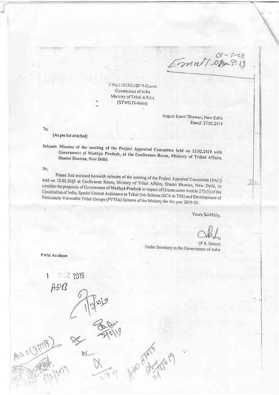$E$ mai/01-5-4

F.Nc. 1 l0l5/01/20 I 9-Crants Covemment of lndia Ministry of Tribal Affairs (STWG Division)

> August Kranti Bhawan, New Delhi Dated: 27.02.2019

Tq

(As per list attached)

Subject: Minutes of the meeting of the Project Appraisal Committee held on 12.02.2019 with Government of Madhya Pradesh, at the Conference Room, Ministry of Tribal Affairs, Shastri Bhawan, New Delhi. Shastri Bhawan, New Delhi.

Sir.

Please find enclosed herewith minutes of the meeting of the Project Appraisal Committee (PAC) held on 12.02.2019 at Conference Room, Ministry of Tribal Affairs, Shastri Bhawan, New Delhi, to<br>consider the proposals of Government of Madhya Product in section of Consider the proposals of Government of Madhya Product i consider the proposals of Government of Madhya Pradesh in respect of Grants under Article 275(1) of the<br>Constitution of India, Special Central Assistance to Tribal Sub Rebect of Grants under Article 275(1) of the Constitution of India, Special Central Assistance to Tribal Sub-Scheme (SCA to TSS) and Development of<br>Particularly Vulnerable Tribal Groups (PVTGs) Scheme of the Michael (SCA to TSS) and Development of Particularly Vulnerable Tribal Groups (PVTGs) Scheme of the Ministry for the year 2019-20.

Yours faithfully,

(P K Sahoo) Under Secretary to the Government of India

Encls: As above

1

AS O (STOTA)

 $ASR$ 

i' I? 2019

PU.

plg

 $\overline{\phantom{a}}$ 

APO HAMA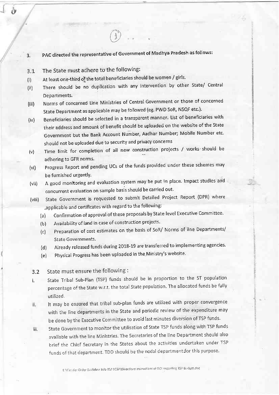- PAC directed the representative of Government of Madhya Pradesh as follows:  $3<sub>z</sub>$
- The State must adhere to the following:  $3.1$
- At least one-third of the total beneficiaries should be women / girls.  $(i)$
- There should be no duplication with any intervention by other State/ Central  $(ii)$ Departments.
- Norms of concerned Line Ministries of Central Government or those of concerned  $(iii)$ State Department as applicable may be followed (eg. PWD SoR, NSQF etc.).
- Beneficiaries should be selected in a transparent manner. List of beneficiaries with  $(iv)$ their address and amount of benefit should be uploaded on the website of the State Government but the Bank Account Number, Aadhar Number; Mobile Number etc. should not be uploaded due to security and privacy concerns
- Time limit for completion of all new construction projects / works should be  $(v)$ adhering to GFR norms.
- Progress Report and pending UCs of the funds provided under these schemes may  $(v<sub>i</sub>)$ be furnished urgently.
- A good monitoring and evaluation system may be put in place. Impact studies and  $(vii)$ concurrent evaluation on sample basis should be carried out.
- State Government is requested to submit Detailed Project Report (DPR) where  $(viii)$ applicable and certificates with regard to the following:
	- Confirmation of approval of these proposals by State level Executive Committee.  $(a)$
	- Availability of land in case of construction projects.  $(b)$
	- Preparation of cost estimates on the basis of SoR/ Norms of line Departments/  $(c)$ **State Governments.**
	- Already released funds during 2018-19 are transferred to implementing agencies.  $(d)$
	- Physical Progress has been uploaded in the Ministry's website.  $(e)$

## State must ensure the following :  $3.2$

- State Tribal Sub-Plan (TSP) funds should be in proportion to the ST population ì. percentage of the State w.r.t. the total State population. The allocated funds be fully utilized.
- It may be ensured that tribal sub-plan funds are utilized with proper convergence li. with the line departments in the State and periodic review of the expenditure may be done by the Executive Committee to avoid last minutes diversion of TSP funds.
- State Government to monitor the utilisation of State TSP funds along with TSP funds iii. available with the line Ministries. The Secretaries of the line Department should also brief the Chief Secretary in the States about the activities undertaken under TSP funds of that department. TDD should be the nodal department for this purpose.

ENGrc Jler Order Guideline Info TSP SCSP\Directions Instructions of GOI regarding TSP Budget.doc